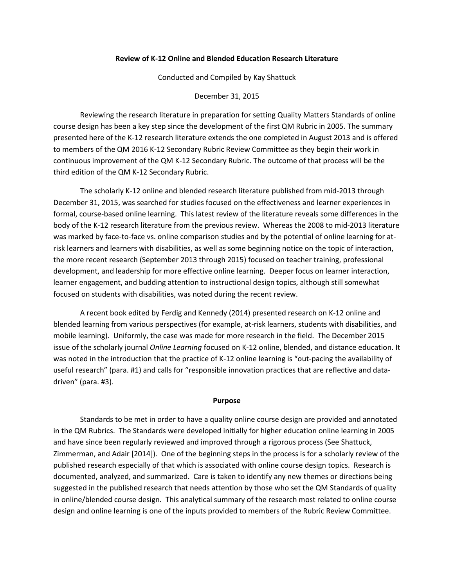### **Review of K-12 Online and Blended Education Research Literature**

Conducted and Compiled by Kay Shattuck

December 31, 2015

Reviewing the research literature in preparation for setting Quality Matters Standards of online course design has been a key step since the development of the first QM Rubric in 2005. The summary presented here of the K-12 research literature extends the one completed in August 2013 and is offered to members of the QM 2016 K-12 Secondary Rubric Review Committee as they begin their work in continuous improvement of the QM K-12 Secondary Rubric. The outcome of that process will be the third edition of the QM K-12 Secondary Rubric.

The scholarly K-12 online and blended research literature published from mid-2013 through December 31, 2015, was searched for studies focused on the effectiveness and learner experiences in formal, course-based online learning. This latest review of the literature reveals some differences in the body of the K-12 research literature from the previous review. Whereas the 2008 to mid-2013 literature was marked by face-to-face vs. online comparison studies and by the potential of online learning for atrisk learners and learners with disabilities, as well as some beginning notice on the topic of interaction, the more recent research (September 2013 through 2015) focused on teacher training, professional development, and leadership for more effective online learning. Deeper focus on learner interaction, learner engagement, and budding attention to instructional design topics, although still somewhat focused on students with disabilities, was noted during the recent review.

A recent book edited by Ferdig and Kennedy (2014) presented research on K-12 online and blended learning from various perspectives (for example, at-risk learners, students with disabilities, and mobile learning). Uniformly, the case was made for more research in the field. The December 2015 issue of the scholarly journal *Online Learning* focused on K-12 online, blended, and distance education. It was noted in the introduction that the practice of K-12 online learning is "out-pacing the availability of useful research" (para. #1) and calls for "responsible innovation practices that are reflective and datadriven" (para. #3).

#### **Purpose**

Standards to be met in order to have a quality online course design are provided and annotated in the QM Rubrics. The Standards were developed initially for higher education online learning in 2005 and have since been regularly reviewed and improved through a rigorous process (See Shattuck, Zimmerman, and Adair [2014]). One of the beginning steps in the process is for a scholarly review of the published research especially of that which is associated with online course design topics. Research is documented, analyzed, and summarized. Care is taken to identify any new themes or directions being suggested in the published research that needs attention by those who set the QM Standards of quality in online/blended course design. This analytical summary of the research most related to online course design and online learning is one of the inputs provided to members of the Rubric Review Committee.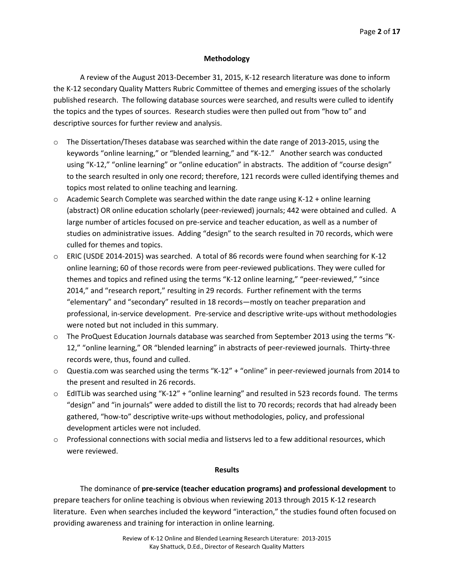# **Methodology**

A review of the August 2013-December 31, 2015, K-12 research literature was done to inform the K-12 secondary Quality Matters Rubric Committee of themes and emerging issues of the scholarly published research. The following database sources were searched, and results were culled to identify the topics and the types of sources. Research studies were then pulled out from "how to" and descriptive sources for further review and analysis.

- o The Dissertation/Theses database was searched within the date range of 2013-2015, using the keywords "online learning," or "blended learning," and "K-12." Another search was conducted using "K-12," "online learning" or "online education" in abstracts. The addition of "course design" to the search resulted in only one record; therefore, 121 records were culled identifying themes and topics most related to online teaching and learning.
- $\circ$  Academic Search Complete was searched within the date range using K-12 + online learning (abstract) OR online education scholarly (peer-reviewed) journals; 442 were obtained and culled. A large number of articles focused on pre-service and teacher education, as well as a number of studies on administrative issues. Adding "design" to the search resulted in 70 records, which were culled for themes and topics.
- o ERIC (USDE 2014-2015) was searched. A total of 86 records were found when searching for K-12 online learning; 60 of those records were from peer-reviewed publications. They were culled for themes and topics and refined using the terms "K-12 online learning," "peer-reviewed," "since 2014," and "research report," resulting in 29 records. Further refinement with the terms "elementary" and "secondary" resulted in 18 records—mostly on teacher preparation and professional, in-service development. Pre-service and descriptive write-ups without methodologies were noted but not included in this summary.
- o The ProQuest Education Journals database was searched from September 2013 using the terms "K-12," "online learning," OR "blended learning" in abstracts of peer-reviewed journals. Thirty-three records were, thus, found and culled.
- o Questia.com was searched using the terms "K-12" + "online" in peer-reviewed journals from 2014 to the present and resulted in 26 records.
- $\circ$  EdITLib was searched using "K-12" + "online learning" and resulted in 523 records found. The terms "design" and "in journals" were added to distill the list to 70 records; records that had already been gathered, "how-to" descriptive write-ups without methodologies, policy, and professional development articles were not included.
- o Professional connections with social media and listservs led to a few additional resources, which were reviewed.

## **Results**

The dominance of **pre-service (teacher education programs) and professional development** to prepare teachers for online teaching is obvious when reviewing 2013 through 2015 K-12 research literature. Even when searches included the keyword "interaction," the studies found often focused on providing awareness and training for interaction in online learning.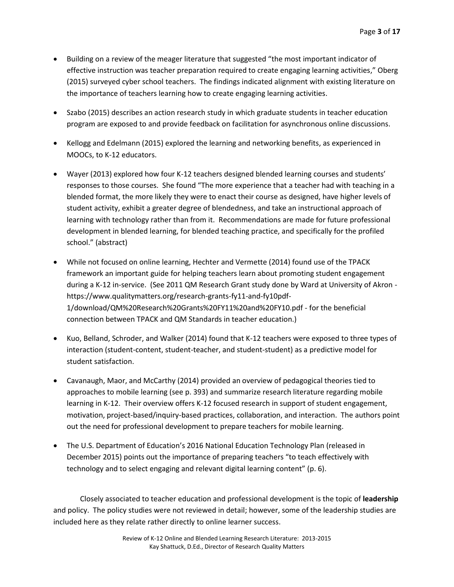- Building on a review of the meager literature that suggested "the most important indicator of effective instruction was teacher preparation required to create engaging learning activities," Oberg (2015) surveyed cyber school teachers. The findings indicated alignment with existing literature on the importance of teachers learning how to create engaging learning activities.
- Szabo (2015) describes an action research study in which graduate students in teacher education program are exposed to and provide feedback on facilitation for asynchronous online discussions.
- Kellogg and Edelmann (2015) explored the learning and networking benefits, as experienced in MOOCs, to K-12 educators.
- Wayer (2013) explored how four K-12 teachers designed blended learning courses and students' responses to those courses. She found "The more experience that a teacher had with teaching in a blended format, the more likely they were to enact their course as designed, have higher levels of student activity, exhibit a greater degree of blendedness, and take an instructional approach of learning with technology rather than from it. Recommendations are made for future professional development in blended learning, for blended teaching practice, and specifically for the profiled school." (abstract)
- While not focused on online learning, Hechter and Vermette (2014) found use of the TPACK framework an important guide for helping teachers learn about promoting student engagement during a K-12 in-service. (See 2011 QM Research Grant study done by Ward at University of Akron https://www.qualitymatters.org/research-grants-fy11-and-fy10pdf-1/download/QM%20Research%20Grants%20FY11%20and%20FY10.pdf - for the beneficial connection between TPACK and QM Standards in teacher education.)
- Kuo, Belland, Schroder, and Walker (2014) found that K-12 teachers were exposed to three types of interaction (student-content, student-teacher, and student-student) as a predictive model for student satisfaction.
- Cavanaugh, Maor, and McCarthy (2014) provided an overview of pedagogical theories tied to approaches to mobile learning (see p. 393) and summarize research literature regarding mobile learning in K-12. Their overview offers K-12 focused research in support of student engagement, motivation, project-based/inquiry-based practices, collaboration, and interaction. The authors point out the need for professional development to prepare teachers for mobile learning.
- The U.S. Department of Education's 2016 National Education Technology Plan (released in December 2015) points out the importance of preparing teachers "to teach effectively with technology and to select engaging and relevant digital learning content" (p. 6).

Closely associated to teacher education and professional development is the topic of **leadership** and policy. The policy studies were not reviewed in detail; however, some of the leadership studies are included here as they relate rather directly to online learner success.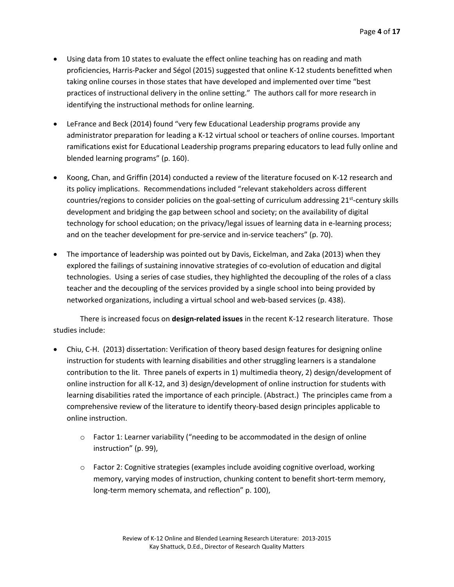- Using data from 10 states to evaluate the effect online teaching has on reading and math proficiencies, Harris-Packer and Ségol (2015) suggested that online K-12 students benefitted when taking online courses in those states that have developed and implemented over time "best practices of instructional delivery in the online setting." The authors call for more research in identifying the instructional methods for online learning.
- LeFrance and Beck (2014) found "very few Educational Leadership programs provide any administrator preparation for leading a K-12 virtual school or teachers of online courses. Important ramifications exist for Educational Leadership programs preparing educators to lead fully online and blended learning programs" (p. 160).
- Koong, Chan, and Griffin (2014) conducted a review of the literature focused on K-12 research and its policy implications. Recommendations included "relevant stakeholders across different countries/regions to consider policies on the goal-setting of curriculum addressing 21<sup>st</sup>-century skills development and bridging the gap between school and society; on the availability of digital technology for school education; on the privacy/legal issues of learning data in e-learning process; and on the teacher development for pre-service and in-service teachers" (p. 70).
- The importance of leadership was pointed out by Davis, Eickelman, and Zaka (2013) when they explored the failings of sustaining innovative strategies of co-evolution of education and digital technologies. Using a series of case studies, they highlighted the decoupling of the roles of a class teacher and the decoupling of the services provided by a single school into being provided by networked organizations, including a virtual school and web-based services (p. 438).

There is increased focus on **design-related issues** in the recent K-12 research literature. Those studies include:

- Chiu, C-H. (2013) dissertation: Verification of theory based design features for designing online instruction for students with learning disabilities and other struggling learners is a standalone contribution to the lit. Three panels of experts in 1) multimedia theory, 2) design/development of online instruction for all K-12, and 3) design/development of online instruction for students with learning disabilities rated the importance of each principle. (Abstract.) The principles came from a comprehensive review of the literature to identify theory-based design principles applicable to online instruction.
	- $\circ$  Factor 1: Learner variability ("needing to be accommodated in the design of online instruction" (p. 99),
	- $\circ$  Factor 2: Cognitive strategies (examples include avoiding cognitive overload, working memory, varying modes of instruction, chunking content to benefit short-term memory, long-term memory schemata, and reflection" p. 100),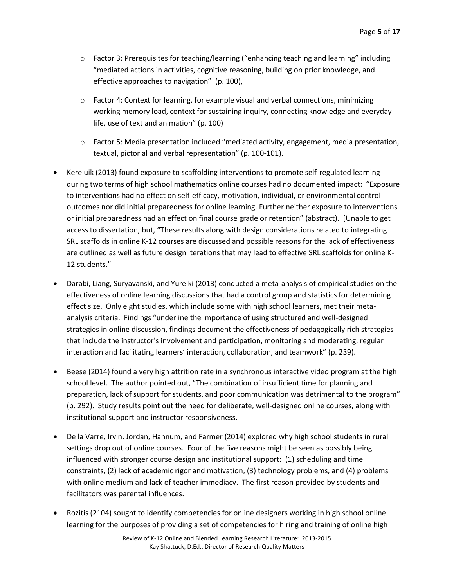- o Factor 3: Prerequisites for teaching/learning ("enhancing teaching and learning" including "mediated actions in activities, cognitive reasoning, building on prior knowledge, and effective approaches to navigation" (p. 100),
- $\circ$  Factor 4: Context for learning, for example visual and verbal connections, minimizing working memory load, context for sustaining inquiry, connecting knowledge and everyday life, use of text and animation" (p. 100)
- o Factor 5: Media presentation included "mediated activity, engagement, media presentation, textual, pictorial and verbal representation" (p. 100-101).
- Kereluik (2013) found exposure to scaffolding interventions to promote self-regulated learning during two terms of high school mathematics online courses had no documented impact: "Exposure to interventions had no effect on self-efficacy, motivation, individual, or environmental control outcomes nor did initial preparedness for online learning. Further neither exposure to interventions or initial preparedness had an effect on final course grade or retention" (abstract). [Unable to get access to dissertation, but, "These results along with design considerations related to integrating SRL scaffolds in online K-12 courses are discussed and possible reasons for the lack of effectiveness are outlined as well as future design iterations that may lead to effective SRL scaffolds for online K-12 students."
- Darabi, Liang, Suryavanski, and Yurelki (2013) conducted a meta-analysis of empirical studies on the effectiveness of online learning discussions that had a control group and statistics for determining effect size. Only eight studies, which include some with high school learners, met their metaanalysis criteria. Findings "underline the importance of using structured and well-designed strategies in online discussion, findings document the effectiveness of pedagogically rich strategies that include the instructor's involvement and participation, monitoring and moderating, regular interaction and facilitating learners' interaction, collaboration, and teamwork" (p. 239).
- Beese (2014) found a very high attrition rate in a synchronous interactive video program at the high school level. The author pointed out, "The combination of insufficient time for planning and preparation, lack of support for students, and poor communication was detrimental to the program" (p. 292). Study results point out the need for deliberate, well-designed online courses, along with institutional support and instructor responsiveness.
- De la Varre, Irvin, Jordan, Hannum, and Farmer (2014) explored why high school students in rural settings drop out of online courses. Four of the five reasons might be seen as possibly being influenced with stronger course design and institutional support: (1) scheduling and time constraints, (2) lack of academic rigor and motivation, (3) technology problems, and (4) problems with online medium and lack of teacher immediacy. The first reason provided by students and facilitators was parental influences.
- Rozitis (2104) sought to identify competencies for online designers working in high school online learning for the purposes of providing a set of competencies for hiring and training of online high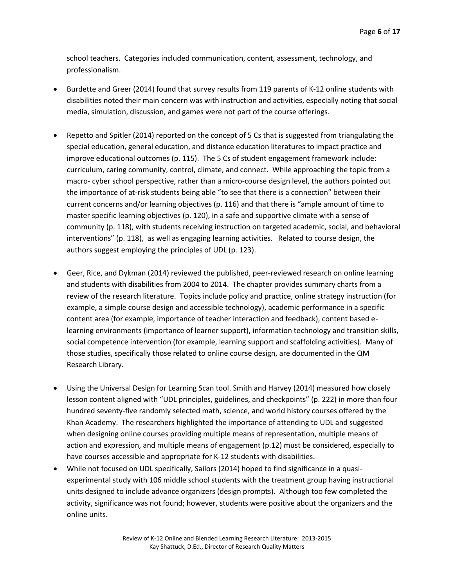school teachers. Categories included communication, content, assessment, technology, and professionalism.

- Burdette and Greer (2014) found that survey results from 119 parents of K-12 online students with disabilities noted their main concern was with instruction and activities, especially noting that social media, simulation, discussion, and games were not part of the course offerings.
- Repetto and Spitler (2014) reported on the concept of 5 Cs that is suggested from triangulating the special education, general education, and distance education literatures to impact practice and improve educational outcomes (p. 115). The 5 Cs of student engagement framework include: curriculum, caring community, control, climate, and connect. While approaching the topic from a macro- cyber school perspective, rather than a micro-course design level, the authors pointed out the importance of at-risk students being able "to see that there is a connection" between their current concerns and/or learning objectives (p. 116) and that there is "ample amount of time to master specific learning objectives (p. 120), in a safe and supportive climate with a sense of community (p. 118), with students receiving instruction on targeted academic, social, and behavioral interventions" (p. 118), as well as engaging learning activities. Related to course design, the authors suggest employing the principles of UDL (p. 123).
- Geer, Rice, and Dykman (2014) reviewed the published, peer-reviewed research on online learning and students with disabilities from 2004 to 2014. The chapter provides summary charts from a review of the research literature. Topics include policy and practice, online strategy instruction (for example, a simple course design and accessible technology), academic performance in a specific content area (for example, importance of teacher interaction and feedback), content based elearning environments (importance of learner support), information technology and transition skills, social competence intervention (for example, learning support and scaffolding activities). Many of those studies, specifically those related to online course design, are documented in the QM Research Library.
- Using the Universal Design for Learning Scan tool. Smith and Harvey (2014) measured how closely lesson content aligned with "UDL principles, guidelines, and checkpoints" (p. 222) in more than four hundred seventy-five randomly selected math, science, and world history courses offered by the Khan Academy. The researchers highlighted the importance of attending to UDL and suggested when designing online courses providing multiple means of representation, multiple means of action and expression, and multiple means of engagement (p.12) must be considered, especially to have courses accessible and appropriate for K-12 students with disabilities.
- While not focused on UDL specifically, Sailors (2014) hoped to find significance in a quasiexperimental study with 106 middle school students with the treatment group having instructional units designed to include advance organizers (design prompts). Although too few completed the activity, significance was not found; however, students were positive about the organizers and the online units.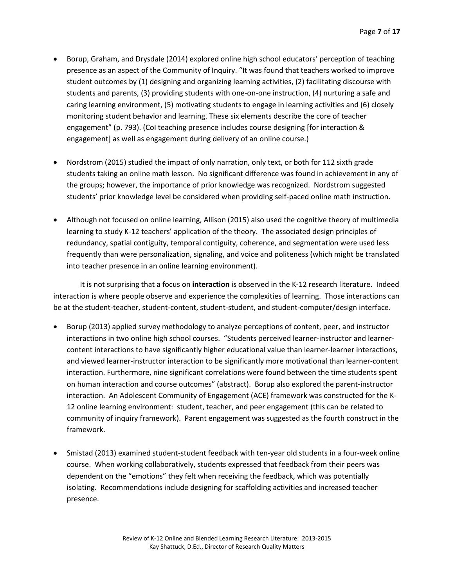- Borup, Graham, and Drysdale (2014) explored online high school educators' perception of teaching presence as an aspect of the Community of Inquiry. "It was found that teachers worked to improve student outcomes by (1) designing and organizing learning activities, (2) facilitating discourse with students and parents, (3) providing students with one-on-one instruction, (4) nurturing a safe and caring learning environment, (5) motivating students to engage in learning activities and (6) closely monitoring student behavior and learning. These six elements describe the core of teacher engagement" (p. 793). (CoI teaching presence includes course designing [for interaction & engagement] as well as engagement during delivery of an online course.)
- Nordstrom (2015) studied the impact of only narration, only text, or both for 112 sixth grade students taking an online math lesson. No significant difference was found in achievement in any of the groups; however, the importance of prior knowledge was recognized. Nordstrom suggested students' prior knowledge level be considered when providing self-paced online math instruction.
- Although not focused on online learning, Allison (2015) also used the cognitive theory of multimedia learning to study K-12 teachers' application of the theory. The associated design principles of redundancy, spatial contiguity, temporal contiguity, coherence, and segmentation were used less frequently than were personalization, signaling, and voice and politeness (which might be translated into teacher presence in an online learning environment).

It is not surprising that a focus on **interaction** is observed in the K-12 research literature. Indeed interaction is where people observe and experience the complexities of learning. Those interactions can be at the student-teacher, student-content, student-student, and student-computer/design interface.

- Borup (2013) applied survey methodology to analyze perceptions of content, peer, and instructor interactions in two online high school courses. "Students perceived learner-instructor and learnercontent interactions to have significantly higher educational value than learner-learner interactions, and viewed learner-instructor interaction to be significantly more motivational than learner-content interaction. Furthermore, nine significant correlations were found between the time students spent on human interaction and course outcomes" (abstract). Borup also explored the parent-instructor interaction. An Adolescent Community of Engagement (ACE) framework was constructed for the K-12 online learning environment: student, teacher, and peer engagement (this can be related to community of inquiry framework). Parent engagement was suggested as the fourth construct in the framework.
- Smistad (2013) examined student-student feedback with ten-year old students in a four-week online course. When working collaboratively, students expressed that feedback from their peers was dependent on the "emotions" they felt when receiving the feedback, which was potentially isolating. Recommendations include designing for scaffolding activities and increased teacher presence.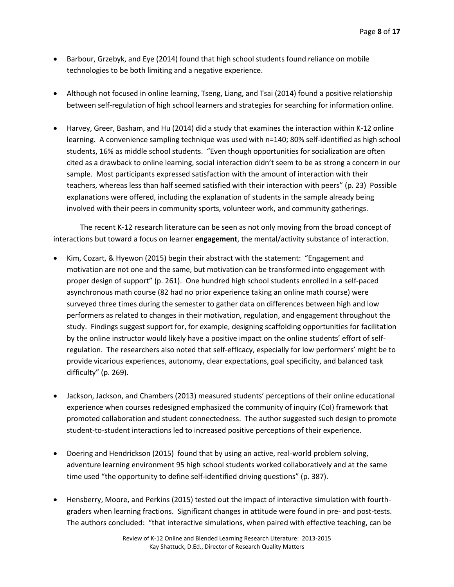- Barbour, Grzebyk, and Eye (2014) found that high school students found reliance on mobile technologies to be both limiting and a negative experience.
- Although not focused in online learning, Tseng, Liang, and Tsai (2014) found a positive relationship between self-regulation of high school learners and strategies for searching for information online.
- Harvey, Greer, Basham, and Hu (2014) did a study that examines the interaction within K-12 online learning. A convenience sampling technique was used with n=140; 80% self-identified as high school students, 16% as middle school students. "Even though opportunities for socialization are often cited as a drawback to online learning, social interaction didn't seem to be as strong a concern in our sample. Most participants expressed satisfaction with the amount of interaction with their teachers, whereas less than half seemed satisfied with their interaction with peers" (p. 23) Possible explanations were offered, including the explanation of students in the sample already being involved with their peers in community sports, volunteer work, and community gatherings.

The recent K-12 research literature can be seen as not only moving from the broad concept of interactions but toward a focus on learner **engagement**, the mental/activity substance of interaction.

- Kim, Cozart, & Hyewon (2015) begin their abstract with the statement: "Engagement and motivation are not one and the same, but motivation can be transformed into engagement with proper design of support" (p. 261). One hundred high school students enrolled in a self-paced asynchronous math course (82 had no prior experience taking an online math course) were surveyed three times during the semester to gather data on differences between high and low performers as related to changes in their motivation, regulation, and engagement throughout the study. Findings suggest support for, for example, designing scaffolding opportunities for facilitation by the online instructor would likely have a positive impact on the online students' effort of selfregulation. The researchers also noted that self-efficacy, especially for low performers' might be to provide vicarious experiences, autonomy, clear expectations, goal specificity, and balanced task difficulty" (p. 269).
- Jackson, Jackson, and Chambers (2013) measured students' perceptions of their online educational experience when courses redesigned emphasized the community of inquiry (CoI) framework that promoted collaboration and student connectedness. The author suggested such design to promote student-to-student interactions led to increased positive perceptions of their experience.
- Doering and Hendrickson (2015) found that by using an active, real-world problem solving, adventure learning environment 95 high school students worked collaboratively and at the same time used "the opportunity to define self-identified driving questions" (p. 387).
- Hensberry, Moore, and Perkins (2015) tested out the impact of interactive simulation with fourthgraders when learning fractions. Significant changes in attitude were found in pre- and post-tests. The authors concluded: "that interactive simulations, when paired with effective teaching, can be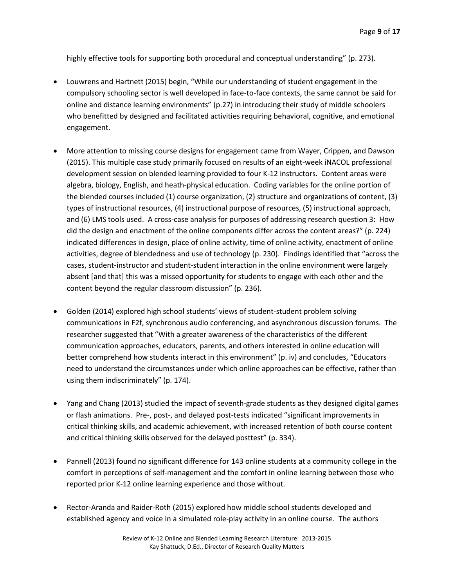highly effective tools for supporting both procedural and conceptual understanding" (p. 273).

- Louwrens and Hartnett (2015) begin, "While our understanding of student engagement in the compulsory schooling sector is well developed in face-to-face contexts, the same cannot be said for online and distance learning environments" (p.27) in introducing their study of middle schoolers who benefitted by designed and facilitated activities requiring behavioral, cognitive, and emotional engagement.
- More attention to missing course designs for engagement came from Wayer, Crippen, and Dawson (2015). This multiple case study primarily focused on results of an eight-week iNACOL professional development session on blended learning provided to four K-12 instructors. Content areas were algebra, biology, English, and heath-physical education. Coding variables for the online portion of the blended courses included (1) course organization, (2) structure and organizations of content, (3) types of instructional resources, (4) instructional purpose of resources, (5) instructional approach, and (6) LMS tools used. A cross-case analysis for purposes of addressing research question 3: How did the design and enactment of the online components differ across the content areas?" (p. 224) indicated differences in design, place of online activity, time of online activity, enactment of online activities, degree of blendedness and use of technology (p. 230). Findings identified that "across the cases, student-instructor and student-student interaction in the online environment were largely absent [and that] this was a missed opportunity for students to engage with each other and the content beyond the regular classroom discussion" (p. 236).
- Golden (2014) explored high school students' views of student-student problem solving communications in F2f, synchronous audio conferencing, and asynchronous discussion forums. The researcher suggested that "With a greater awareness of the characteristics of the different communication approaches, educators, parents, and others interested in online education will better comprehend how students interact in this environment" (p. iv) and concludes, "Educators need to understand the circumstances under which online approaches can be effective, rather than using them indiscriminately" (p. 174).
- Yang and Chang (2013) studied the impact of seventh-grade students as they designed digital games or flash animations. Pre-, post-, and delayed post-tests indicated "significant improvements in critical thinking skills, and academic achievement, with increased retention of both course content and critical thinking skills observed for the delayed posttest" (p. 334).
- Pannell (2013) found no significant difference for 143 online students at a community college in the comfort in perceptions of self-management and the comfort in online learning between those who reported prior K-12 online learning experience and those without.
- Rector-Aranda and Raider-Roth (2015) explored how middle school students developed and established agency and voice in a simulated role-play activity in an online course. The authors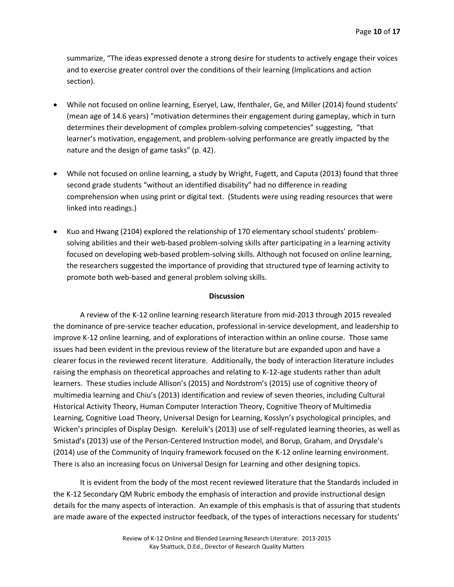summarize, "The ideas expressed denote a strong desire for students to actively engage their voices and to exercise greater control over the conditions of their learning (Implications and action section).

- While not focused on online learning, Eseryel, Law, Ifenthaler, Ge, and Miller (2014) found students' (mean age of 14.6 years) "motivation determines their engagement during gameplay, which in turn determines their development of complex problem-solving competencies" suggesting, "that learner's motivation, engagement, and problem-solving performance are greatly impacted by the nature and the design of game tasks" (p. 42).
- While not focused on online learning, a study by Wright, Fugett, and Caputa (2013) found that three second grade students "without an identified disability" had no difference in reading comprehension when using print or digital text. (Students were using reading resources that were linked into readings.)
- Kuo and Hwang (2104) explored the relationship of 170 elementary school students' problemsolving abilities and their web-based problem-solving skills after participating in a learning activity focused on developing web-based problem-solving skills. Although not focused on online learning, the researchers suggested the importance of providing that structured type of learning activity to promote both web-based and general problem solving skills.

#### **Discussion**

A review of the K-12 online learning research literature from mid-2013 through 2015 revealed the dominance of pre-service teacher education, professional in-service development, and leadership to improve K-12 online learning, and of explorations of interaction within an online course. Those same issues had been evident in the previous review of the literature but are expanded upon and have a clearer focus in the reviewed recent literature. Additionally, the body of interaction literature includes raising the emphasis on theoretical approaches and relating to K-12-age students rather than adult learners. These studies include Allison's (2015) and Nordstrom's (2015) use of cognitive theory of multimedia learning and Chiu's (2013) identification and review of seven theories, including Cultural Historical Activity Theory, Human Computer Interaction Theory, Cognitive Theory of Multimedia Learning, Cognitive Load Theory, Universal Design for Learning, Kosslyn's psychological principles, and Wicken's principles of Display Design. Kereluik's (2013) use of self-regulated learning theories, as well as Smistad's (2013) use of the Person-Centered Instruction model, and Borup, Graham, and Drysdale's (2014) use of the Community of Inquiry framework focused on the K-12 online learning environment. There is also an increasing focus on Universal Design for Learning and other designing topics.

It is evident from the body of the most recent reviewed literature that the Standards included in the K-12 Secondary QM Rubric embody the emphasis of interaction and provide instructional design details for the many aspects of interaction. An example of this emphasis is that of assuring that students are made aware of the expected instructor feedback, of the types of interactions necessary for students'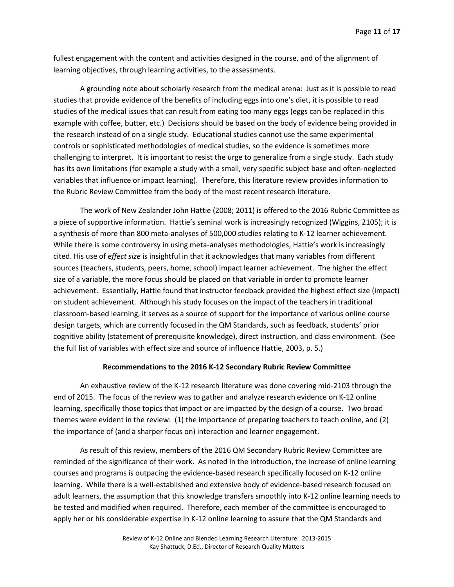fullest engagement with the content and activities designed in the course, and of the alignment of learning objectives, through learning activities, to the assessments.

A grounding note about scholarly research from the medical arena: Just as it is possible to read studies that provide evidence of the benefits of including eggs into one's diet, it is possible to read studies of the medical issues that can result from eating too many eggs (eggs can be replaced in this example with coffee, butter, etc.) Decisions should be based on the body of evidence being provided in the research instead of on a single study. Educational studies cannot use the same experimental controls or sophisticated methodologies of medical studies, so the evidence is sometimes more challenging to interpret. It is important to resist the urge to generalize from a single study. Each study has its own limitations (for example a study with a small, very specific subject base and often-neglected variables that influence or impact learning). Therefore, this literature review provides information to the Rubric Review Committee from the body of the most recent research literature.

The work of New Zealander John Hattie (2008; 2011) is offered to the 2016 Rubric Committee as a piece of supportive information. Hattie's seminal work is increasingly recognized (Wiggins, 2105); it is a synthesis of more than 800 meta-analyses of 500,000 studies relating to K-12 learner achievement. While there is some controversy in using meta-analyses methodologies, Hattie's work is increasingly cited. His use of *effect size* is insightful in that it acknowledges that many variables from different sources (teachers, students, peers, home, school) impact learner achievement. The higher the effect size of a variable, the more focus should be placed on that variable in order to promote learner achievement. Essentially, Hattie found that instructor feedback provided the highest effect size (impact) on student achievement. Although his study focuses on the impact of the teachers in traditional classroom-based learning, it serves as a source of support for the importance of various online course design targets, which are currently focused in the QM Standards, such as feedback, students' prior cognitive ability (statement of prerequisite knowledge), direct instruction, and class environment. (See the full list of variables with effect size and source of influence Hattie, 2003, p. 5.)

#### **Recommendations to the 2016 K-12 Secondary Rubric Review Committee**

An exhaustive review of the K-12 research literature was done covering mid-2103 through the end of 2015. The focus of the review was to gather and analyze research evidence on K-12 online learning, specifically those topics that impact or are impacted by the design of a course. Two broad themes were evident in the review: (1) the importance of preparing teachers to teach online, and (2) the importance of (and a sharper focus on) interaction and learner engagement.

As result of this review, members of the 2016 QM Secondary Rubric Review Committee are reminded of the significance of their work. As noted in the introduction, the increase of online learning courses and programs is outpacing the evidence-based research specifically focused on K-12 online learning. While there is a well-established and extensive body of evidence-based research focused on adult learners, the assumption that this knowledge transfers smoothly into K-12 online learning needs to be tested and modified when required. Therefore, each member of the committee is encouraged to apply her or his considerable expertise in K-12 online learning to assure that the QM Standards and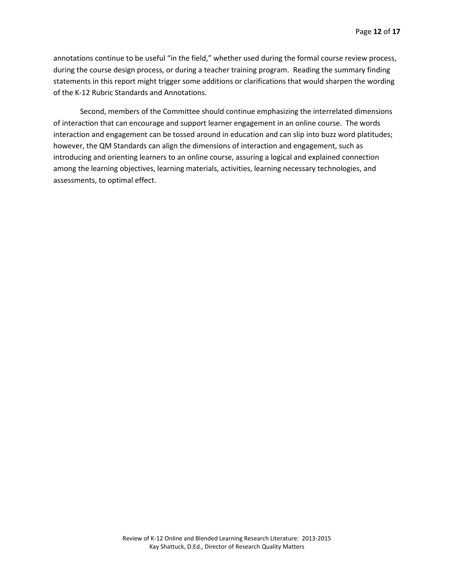annotations continue to be useful "in the field," whether used during the formal course review process, during the course design process, or during a teacher training program. Reading the summary finding statements in this report might trigger some additions or clarifications that would sharpen the wording of the K-12 Rubric Standards and Annotations.

Second, members of the Committee should continue emphasizing the interrelated dimensions of interaction that can encourage and support learner engagement in an online course. The words interaction and engagement can be tossed around in education and can slip into buzz word platitudes; however, the QM Standards can align the dimensions of interaction and engagement, such as introducing and orienting learners to an online course, assuring a logical and explained connection among the learning objectives, learning materials, activities, learning necessary technologies, and assessments, to optimal effect.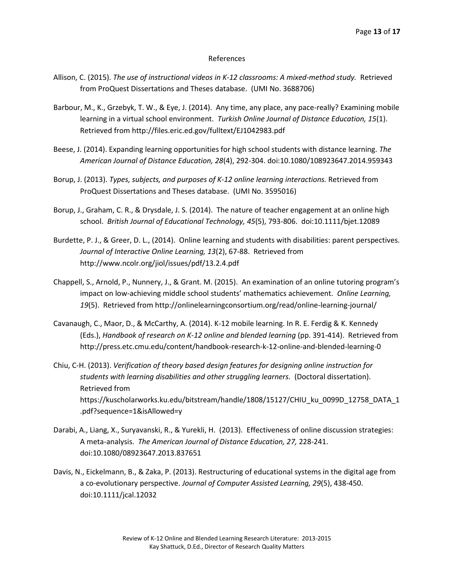#### References

- Allison, C. (2015). *The use of instructional videos in K-12 classrooms: A mixed-method study.* Retrieved from ProQuest Dissertations and Theses database. (UMI No. 3688706)
- Barbour, M., K., Grzebyk, T. W., & Eye, J. (2014). Any time, any place, any pace-really? Examining mobile learning in a virtual school environment. *Turkish Online Journal of Distance Education, 15*(1). Retrieved from http://files.eric.ed.gov/fulltext/EJ1042983.pdf
- Beese, J. (2014). Expanding learning opportunities for high school students with distance learning. *The American Journal of Distance Education, 28*(4), 292-304. doi:10.1080/108923647.2014.959343
- Borup, J. (2013). *Types, subjects, and purposes of K-12 online learning interactions.* Retrieved from ProQuest Dissertations and Theses database. (UMI No. 3595016)
- Borup, J., Graham, C. R., & Drysdale, J. S. (2014). The nature of teacher engagement at an online high school. *British Journal of Educational Technology, 45*(5), 793-806. doi:10.1111/bjet.12089
- Burdette, P. J., & Greer, D. L., (2014). Online learning and students with disabilities: parent perspectives. *Journal of Interactive Online Learning, 13*(2), 67-88. Retrieved from http://www.ncolr.org/jiol/issues/pdf/13.2.4.pdf
- Chappell, S., Arnold, P., Nunnery, J., & Grant. M. (2015). An examination of an online tutoring program's impact on low-achieving middle school students' mathematics achievement. *Online Learning, 19*(5). Retrieved from http://onlinelearningconsortium.org/read/online-learning-journal/
- Cavanaugh, C., Maor, D., & McCarthy, A. (2014). K-12 mobile learning. In R. E. Ferdig & K. Kennedy (Eds.), *Handbook of research on K-12 online and blended learning* (pp. 391-414). Retrieved from http://press.etc.cmu.edu/content/handbook-research-k-12-online-and-blended-learning-0
- Chiu, C-H. (2013). *Verification of theory based design features for designing online instruction for students with learning disabilities and other struggling learners.* (Doctoral dissertation). Retrieved from https://kuscholarworks.ku.edu/bitstream/handle/1808/15127/CHIU\_ku\_0099D\_12758\_DATA\_1 .pdf?sequence=1&isAllowed=y
- Darabi, A., Liang, X., Suryavanski, R., & Yurekli, H. (2013). Effectiveness of online discussion strategies: A meta-analysis. *The American Journal of Distance Education, 27,* 228-241. doi:10.1080/08923647.2013.837651
- Davis, N., Eickelmann, B., & Zaka, P. (2013). Restructuring of educational systems in the digital age from a co-evolutionary perspective. *Journal of Computer Assisted Learning, 29*(5), 438-450. doi:10.1111/jcal.12032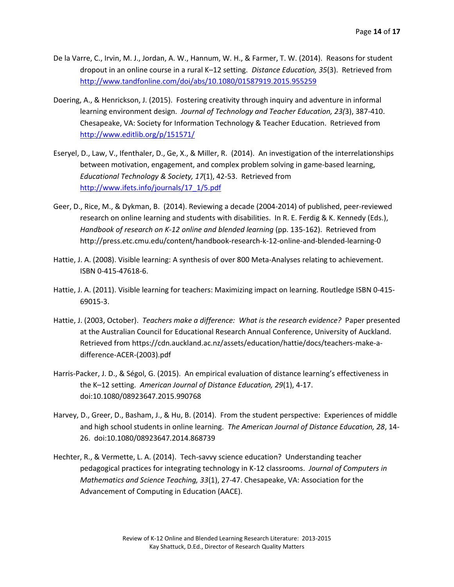- De la Varre, C., Irvin, M. J., Jordan, A. W., Hannum, W. H., & Farmer, T. W. (2014). Reasons for student dropout in an online course in a rural K–12 setting. *Distance Education, 35*(3). Retrieved from <http://www.tandfonline.com/doi/abs/10.1080/01587919.2015.955259>
- Doering, A., & Henrickson, J. (2015). Fostering creativity through inquiry and adventure in informal learning environment design. *Journal of Technology and Teacher Education, 23(*3), 387-410. Chesapeake, VA: Society for Information Technology & Teacher Education. Retrieved from <http://www.editlib.org/p/151571/>
- Eseryel, D., Law, V., Ifenthaler, D., Ge, X., & Miller, R. (2014). An investigation of the interrelationships between motivation, engagement, and complex problem solving in game-based learning, *Educational Technology & Society, 17*(1), 42-53. Retrieved from [http://www.ifets.info/journals/17\\_1/5.pdf](http://www.ifets.info/journals/17_1/5.pdf)
- Geer, D., Rice, M., & Dykman, B. (2014). Reviewing a decade (2004-2014) of published, peer-reviewed research on online learning and students with disabilities. In R. E. Ferdig & K. Kennedy (Eds.), *Handbook of research on K-12 online and blended learning* (pp. 135-162). Retrieved from http://press.etc.cmu.edu/content/handbook-research-k-12-online-and-blended-learning-0
- Hattie, J. A. (2008). Visible learning: A synthesis of over 800 Meta-Analyses relating to achievement. ISBN 0-415-47618-6.
- Hattie, J. A. (2011). Visible learning for teachers: Maximizing impact on learning. Routledge ISBN 0-415- 69015-3.
- Hattie, J. (2003, October). *Teachers make a difference: What is the research evidence?* Paper presented at the Australian Council for Educational Research Annual Conference, University of Auckland. Retrieved from https://cdn.auckland.ac.nz/assets/education/hattie/docs/teachers-make-adifference-ACER-(2003).pdf
- Harris-Packer, J. D., & Ségol, G. (2015). An empirical evaluation of distance learning's effectiveness in the K–12 setting. *American Journal of Distance Education, 29*(1), 4-17. doi:10.1080/08923647.2015.990768
- Harvey, D., Greer, D., Basham, J., & Hu, B. (2014). From the student perspective: Experiences of middle and high school students in online learning. *The American Journal of Distance Education, 28*, 14- 26. doi:10.1080/08923647.2014.868739
- Hechter, R., & Vermette, L. A. (2014). Tech-savvy science education? Understanding teacher pedagogical practices for integrating technology in K-12 classrooms. *Journal of Computers in Mathematics and Science Teaching, 33*(1), 27-47. Chesapeake, VA: Association for the Advancement of Computing in Education (AACE).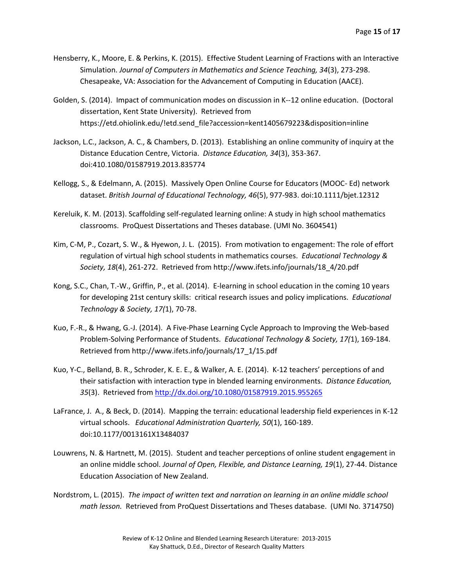- Hensberry, K., Moore, E. & Perkins, K. (2015). Effective Student Learning of Fractions with an Interactive Simulation. *Journal of Computers in Mathematics and Science Teaching, 34*(3), 273-298. Chesapeake, VA: Association for the Advancement of Computing in Education (AACE).
- Golden, S. (2014). Impact of communication modes on discussion in K--12 online education. (Doctoral dissertation, Kent State University). Retrieved from https://etd.ohiolink.edu/!etd.send\_file?accession=kent1405679223&disposition=inline
- Jackson, L.C., Jackson, A. C., & Chambers, D. (2013). Establishing an online community of inquiry at the Distance Education Centre, Victoria. *Distance Education, 34*(3), 353-367. doi:410.1080/01587919.2013.835774
- Kellogg, S., & Edelmann, A. (2015). Massively Open Online Course for Educators (MOOC- Ed) network dataset. *British Journal of Educational Technology, 46*(5), 977-983. doi:10.1111/bjet.12312
- Kereluik, K. M. (2013). Scaffolding self-regulated learning online: A study in high school mathematics classrooms. ProQuest Dissertations and Theses database. (UMI No. 3604541)
- Kim, C-M, P., Cozart, S. W., & Hyewon, J. L. (2015). From motivation to engagement: The role of effort regulation of virtual high school students in mathematics courses. *Educational Technology & Society, 18*(4), 261-272. Retrieved from http://www.ifets.info/journals/18\_4/20.pdf
- Kong, S.C., Chan, T.-W., Griffin, P., et al. (2014). E-learning in school education in the coming 10 years for developing 21st century skills: critical research issues and policy implications. *Educational Technology & Society, 17(*1), 70-78.
- Kuo, F.-R., & Hwang, G.-J. (2014). A Five-Phase Learning Cycle Approach to Improving the Web-based Problem-Solving Performance of Students. *Educational Technology & Society, 17(*1), 169-184. Retrieved from http://www.ifets.info/journals/17\_1/15.pdf
- Kuo, Y-C., Belland, B. R., Schroder, K. E. E., & Walker, A. E. (2014). K-12 teachers' perceptions of and their satisfaction with interaction type in blended learning environments. *Distance Education, 35*(3). Retrieved from<http://dx.doi.org/10.1080/01587919.2015.955265>
- LaFrance, J. A., & Beck, D. (2014). Mapping the terrain: educational leadership field experiences in K-12 virtual schools. *Educational Administration Quarterly, 50*(1), 160-189. doi:10.1177/0013161X13484037
- Louwrens, N. & Hartnett, M. (2015). Student and teacher perceptions of online student engagement in an online middle school. *Journal of Open, Flexible, and Distance Learning, 19*(1), 27-44. Distance Education Association of New Zealand.
- Nordstrom, L. (2015). *The impact of written text and narration on learning in an online middle school math lesson.* Retrieved from ProQuest Dissertations and Theses database. (UMI No. 3714750)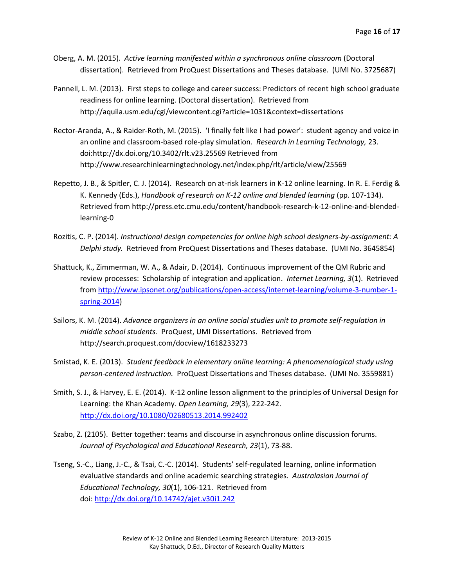- Oberg, A. M. (2015). *Active learning manifested within a synchronous online classroom* (Doctoral dissertation). Retrieved from ProQuest Dissertations and Theses database. (UMI No. 3725687)
- Pannell, L. M. (2013). First steps to college and career success: Predictors of recent high school graduate readiness for online learning. (Doctoral dissertation). Retrieved from http://aquila.usm.edu/cgi/viewcontent.cgi?article=1031&context=dissertations
- Rector-Aranda, A., & Raider-Roth, M. (2015). 'I finally felt like I had power': student agency and voice in an online and classroom-based role-play simulation. *Research in Learning Technology,* 23. doi:http://dx.doi.org/10.3402/rlt.v23.25569 Retrieved from http://www.researchinlearningtechnology.net/index.php/rlt/article/view/25569
- Repetto, J. B., & Spitler, C. J. (2014). Research on at-risk learners in K-12 online learning. In R. E. Ferdig & K. Kennedy (Eds.), *Handbook of research on K-12 online and blended learning* (pp. 107-134). Retrieved from http://press.etc.cmu.edu/content/handbook-research-k-12-online-and-blendedlearning-0
- Rozitis, C. P. (2014). *Instructional design competencies for online high school designers-by-assignment: A Delphi study.* Retrieved from ProQuest Dissertations and Theses database. (UMI No. 3645854)
- Shattuck, K., Zimmerman, W. A., & Adair, D. (2014). Continuous improvement of the QM Rubric and review processes: Scholarship of integration and application. *Internet Learning, 3*(1). Retrieved from [http://www.ipsonet.org/publications/open-access/internet-learning/volume-3-number-1](http://www.ipsonet.org/publications/open-access/internet-learning/volume-3-number-1-spring-2014) [spring-2014\)](http://www.ipsonet.org/publications/open-access/internet-learning/volume-3-number-1-spring-2014)
- Sailors, K. M. (2014). *Advance organizers in an online social studies unit to promote self-regulation in middle school students.* ProQuest, UMI Dissertations. Retrieved from http://search.proquest.com/docview/1618233273
- Smistad, K. E. (2013). *Student feedback in elementary online learning: A phenomenological study using person-centered instruction.* ProQuest Dissertations and Theses database. (UMI No. 3559881)
- Smith, S. J., & Harvey, E. E. (2014). K-12 online lesson alignment to the principles of Universal Design for Learning: the Khan Academy. *Open Learning, 29*(3), 222-242. <http://dx.doi.org/10.1080/02680513.2014.992402>
- Szabo, Z. (2105). Better together: teams and discourse in asynchronous online discussion forums. *Journal of Psychological and Educational Research, 23*(1), 73-88.
- Tseng, S.-C., Liang, J.-C., & Tsai, C.-C. (2014). Students' self-regulated learning, online information evaluative standards and online academic searching strategies. *Australasian Journal of Educational Technology, 30*(1), 106-121. Retrieved from doi: <http://dx.doi.org/10.14742/ajet.v30i1.242>